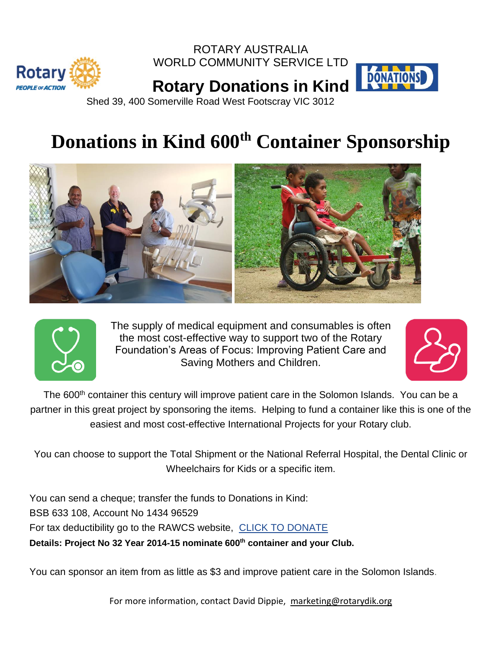

ROTARY AUSTRALIA WORLD COMMUNITY SERVICE LTD



**Rotary Donations in Kind** Shed 39, 400 Somerville Road West Footscray VIC 3012

## **Donations in Kind 600th Container Sponsorship**





The supply of medical equipment and consumables is often the most cost-effective way to support two of the Rotary Foundation's Areas of Focus: Improving Patient Care and Saving Mothers and Children.



The 600<sup>th</sup> container this century will improve patient care in the Solomon Islands. You can be a partner in this great project by sponsoring the items. Helping to fund a container like this is one of the easiest and most cost-effective International Projects for your Rotary club.

You can choose to support the Total Shipment or the National Referral Hospital, the Dental Clinic or Wheelchairs for Kids or a specific item.

You can send a cheque; transfer the funds to Donations in Kind: BSB 633 108, Account No 1434 96529 For tax deductibility go to the RAWCS website, CLICK TO [DONATE](http://www.rawcs.org.au/) **Details: Project No 32 Year 2014-15 nominate 600th container and your Club.**

You can sponsor an item from as little as \$3 and improve patient care in the Solomon Islands.

For more information, contact David Dippie, [marketing@rotarydik.org](mailto:marketing@rotarydik.org)